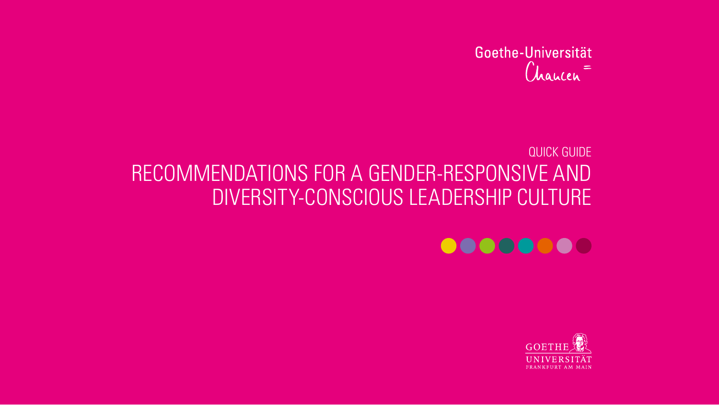## Goethe-Universität Chaucen<sup>=</sup>

# QUICK GUIDE RECOMMENDATIONS FOR A GENDER-RESPONSIVE AND DIVERSITY-CONSCIOUS LEADERSHIP CULTURE



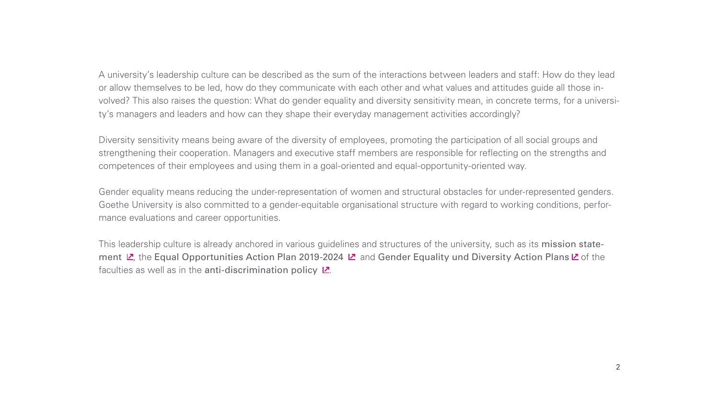A university's leadership culture can be described as the sum of the interactions between leaders and staff: How do they lead or allow themselves to be led, how do they communicate with each other and what values and attitudes guide all those involved? This also raises the question: What do gender equality and diversity sensitivity mean, in concrete terms, for a university's managers and leaders and how can they shape their everyday management activities accordingly?

Diversity sensitivity means being aware of the diversity of employees, promoting the participation of all social groups and strengthening their cooperation. Managers and executive staff members are responsible for reflecting on the strengths and competences of their employees and using them in a goal-oriented and equal-opportunity-oriented way.

Gender equality means reducing the under-representation of women and structural obstacles for under-represented genders. Goethe University is also committed to a gender-equitable organisational structure with regard to working conditions, performance evaluations and career opportunities.

This leadership culture is already anchored in various guidelines and structures of the university, such as its mission state-ment $\mathbb Z$ [,](https://www.uni-frankfurt.de/67690212/SO_Leitbild_der_Goethe.pdf) the Equal Opportunities Action Plan 2019-2024  $\mathbb Z$  and Gender Equality und Diversity Action Plans  $\mathbb Z$  of the faculties as well as in the anti-discrimination policy  $2$ [.](https://www.uni-frankfurt.de/80757763/Antidiskriminierungsrichtlinie.pdf)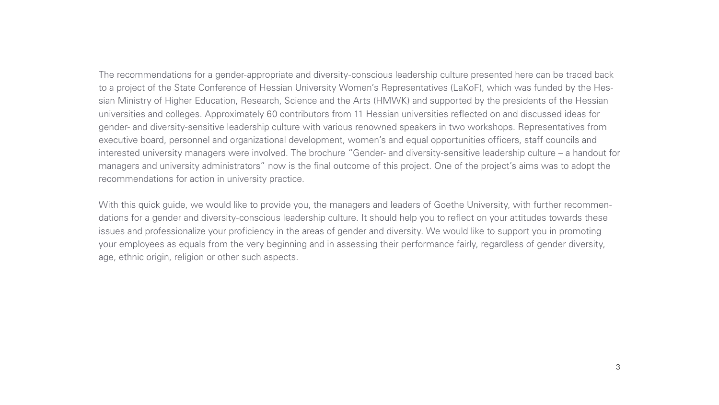The recommendations for a gender-appropriate and diversity-conscious leadership culture presented here can be traced back to a project of the State Conference of Hessian University Women's Representatives (LaKoF), which was funded by the Hessian Ministry of Higher Education, Research, Science and the Arts (HMWK) and supported by the presidents of the Hessian universities and colleges. Approximately 60 contributors from 11 Hessian universities reflected on and discussed ideas for gender- and diversity-sensitive leadership culture with various renowned speakers in two workshops. Representatives from executive board, personnel and organizational development, women's and equal opportunities officers, staff councils and interested university managers were involved. The brochure "Gender- and diversity-sensitive leadership culture – a handout for managers and university administrators" now is the final outcome of this project. One of the project's aims was to adopt the recommendations for action in university practice.

With this quick guide, we would like to provide you, the managers and leaders of Goethe University, with further recommendations for a gender and diversity-conscious leadership culture. It should help you to reflect on your attitudes towards these issues and professionalize your proficiency in the areas of gender and diversity. We would like to support you in promoting your employees as equals from the very beginning and in assessing their performance fairly, regardless of gender diversity, age, ethnic origin, religion or other such aspects.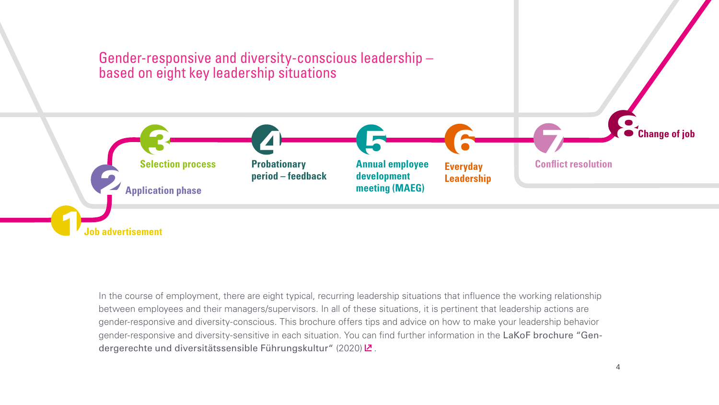

In the course of employment, there are eight typical, recurring leadership situations that influence the working relationship between employees and their managers/supervisors. In all of these situations, it is pertinent that leadership actions are gender-responsive and diversity-conscious. This brochure offers tips and advice on how to make your leadership behavior gender-responsive and diversity-sensitive in each situation. You can find further information in the LaKoF brochure "Gendergerechteund diversitätssensible Führungskultur" (2020)  $2$ .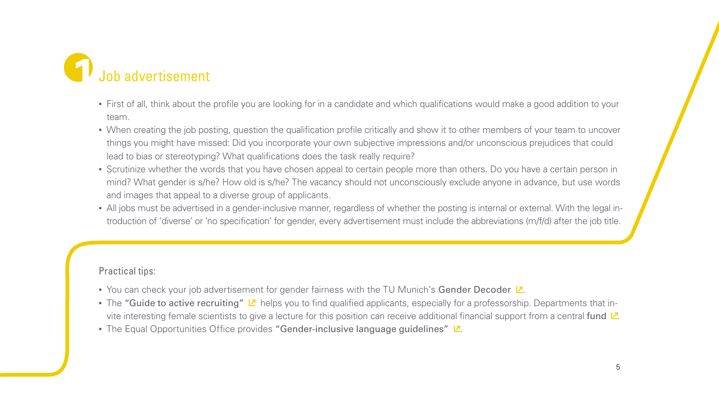<span id="page-4-0"></span>

- First of all, think about the profile you are looking for in a candidate and which qualifications would make a good addition to your team.
- When creating the job posting, question the qualification profile critically and show it to other members of your team to uncover things you might have missed: Did you incorporate your own subjective impressions and/or unconscious prejudices that could lead to bias or stereotyping? What qualifications does the task really require?
- Scrutinize whether the words that you have chosen appeal to certain people more than others. Do you have a certain person in mind? What gender is s/he? How old is s/he? The vacancy should not unconsciously exclude anyone in advance, but use words and images that appeal to a diverse group of applicants.
- All jobs must be advertised in a gender-inclusive manner, regardless of whether the posting is internal or external. With the legal introduction of 'diverse' or 'no specification' for gender, every advertisement must include the abbreviations (m/f/d) after the job title.

- $\;\hat{}$  You can check your job advertisement for gender fairness with the TU Munich's <code>Gender Decoder  $\mathsf{Z}$ [.](https://genderdecoder.wi.tum.de)</code>
- $\bullet$ The "Guide to active recruiting"  $\nu$  helps you to find qualified applicants, especially for a professorship. Departments that invite interesting female scientists to give a lecture for this position can receive additional financial support from a central fund  $\mathbb{Z}$ [.](https://www.uni-frankfurt.de/95628624/Berufungsverfahren)
- The Equal Opportunities Office provides "Gender-inclusive language guidelines" [.](https://www.uni-frankfurt.de/102564207/2021_06_24_Guidelines_Language_gender_inclusive_QUICKguide_barrierefrei.pdf?) الع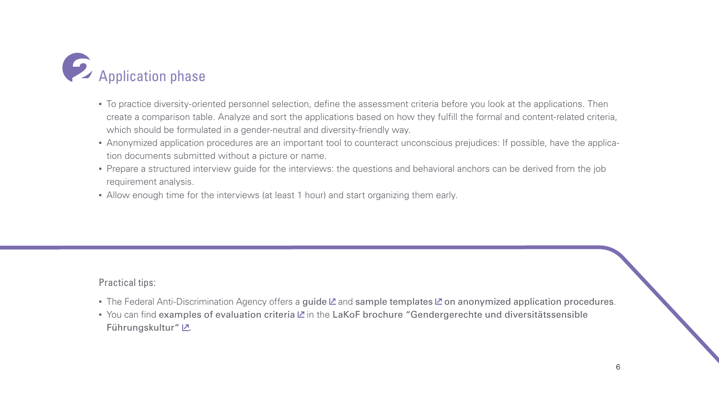<span id="page-5-0"></span>

- To practice diversity-oriented personnel selection, define the assessment criteria before you look at the applications. Then create a comparison table. Analyze and sort the applications based on how they fulfill the formal and content-related criteria, which should be formulated in a gender-neutral and diversity-friendly way.
- Anonymized application procedures are an important tool to counteract unconscious prejudices: If possible, have the application documents submitted without a picture or name.
- Prepare a structured interview guide for the interviews: the questions and behavioral anchors can be derived from the job requirement analysis.
- Allow enough time for the interviews (at least 1 hour) and start organizing them early.

- ■The Federal Anti-Discrimination Agency offers a guide **Z** and sample templates **Z** on anonymized application procedures.
- ■You can find examples of evaluation criteria  $\mathbb Z$  in the LaKoF brochure "Gendergerechte und diversitätssensible Führungskultur" Z[.](https://www.uni-frankfurt.de/91843300/LAKOF_Handreichung_Gendergerechte_und_diversita_tssensible_Fu_hrungskultur.pdf)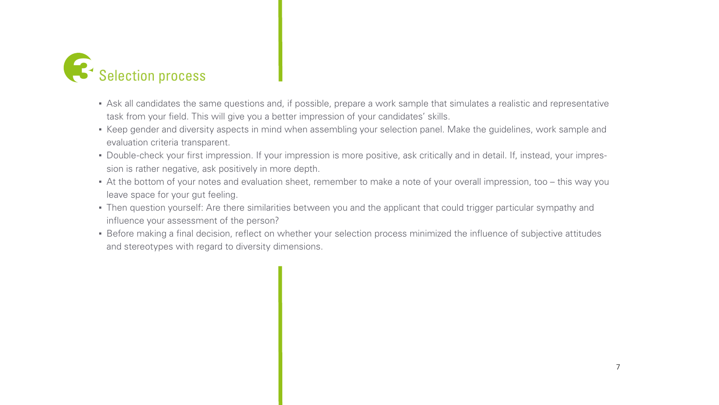<span id="page-6-0"></span>

- Ask all candidates the same questions and, if possible, prepare a work sample that simulates a realistic and representative task from your field. This will give you a better impression of your candidates' skills.
- Keep gender and diversity aspects in mind when assembling your selection panel. Make the guidelines, work sample and evaluation criteria transparent.
- Double-check your first impression. If your impression is more positive, ask critically and in detail. If, instead, your impression is rather negative, ask positively in more depth.
- At the bottom of your notes and evaluation sheet, remember to make a note of your overall impression, too this way you leave space for your gut feeling.
- Then question yourself: Are there similarities between you and the applicant that could trigger particular sympathy and influence your assessment of the person?
- Before making a final decision, reflect on whether your selection process minimized the influence of subjective attitudes and stereotypes with regard to diversity dimensions.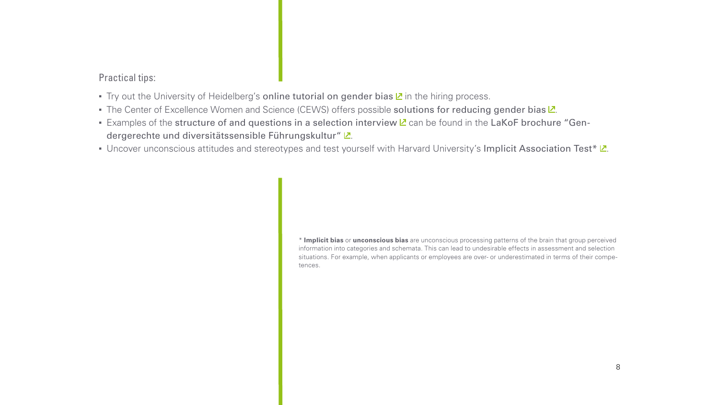- <span id="page-7-0"></span>Tryout the University of Heidelberg's online tutorial on gender bias  $\mathbb Z$  in the hiring process.
- The Center of Excellence Women and Science (CEWS) offers possible solutions for reducing gender bias  $Z$ [.](https://www.gesis.org/en/cews/topics/gender-bias/approaches)
- Examplesof the structure of and questions in a selection interview **Z** can be found in the LaKoF brochure "Gen-dergerechte und diversitätssensible Führungskultur" L[.](https://www.uni-frankfurt.de/91843300/LAKOF_Handreichung_Gendergerechte_und_diversita_tssensible_Fu_hrungskultur.pdf)
- Uncover unconscious attitudes and stereotypes and test yourself with Harvard University's Implicit Association Te[st\\*](#page-7-0)  $Z$ [.](https://implicit.harvard.edu/implicit/)

\* **Implicit bias** or **unconscious bias** are unconscious processing patterns of the brain that group perceived information into categories and schemata. This can lead to undesirable effects in assessment and selection situations. For example, when applicants or employees are over- or underestimated in terms of their competences.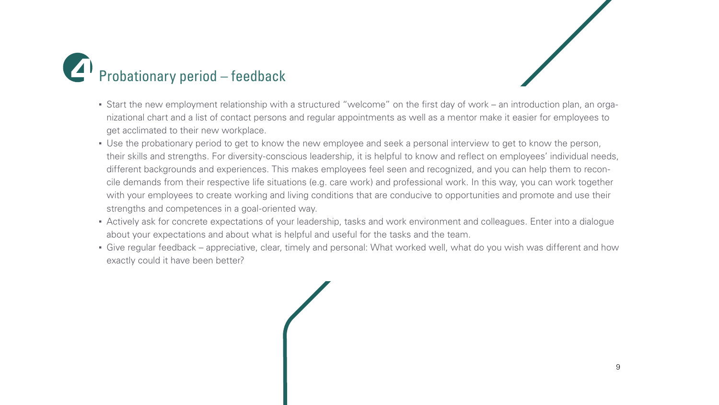<span id="page-8-0"></span>



- Start the new employment relationship with a structured "welcome" on the first day of work an introduction plan, an organizational chart and a list of contact persons and regular appointments as well as a mentor make it easier for employees to get acclimated to their new workplace.
- Use the probationary period to get to know the new employee and seek a personal interview to get to know the person, their skills and strengths. For diversity-conscious leadership, it is helpful to know and reflect on employees' individual needs, different backgrounds and experiences. This makes employees feel seen and recognized, and you can help them to reconcile demands from their respective life situations (e.g. care work) and professional work. In this way, you can work together with your employees to create working and living conditions that are conducive to opportunities and promote and use their strengths and competences in a goal-oriented way.
- Actively ask for concrete expectations of your leadership, tasks and work environment and colleagues. Enter into a dialogue about your expectations and about what is helpful and useful for the tasks and the team.
- Give regular feedback appreciative, clear, timely and personal: What worked well, what do you wish was different and how exactly could it have been better?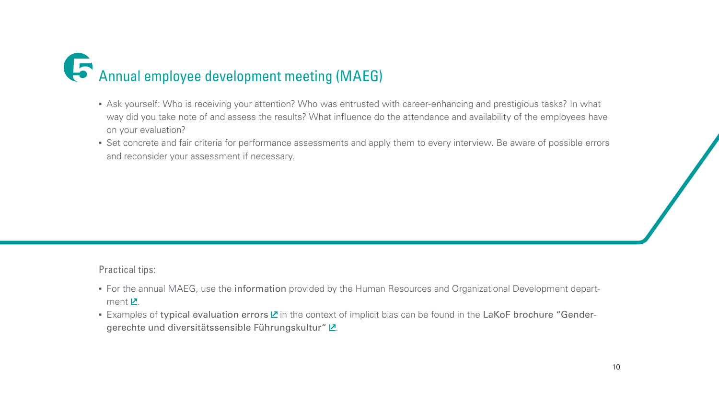# <span id="page-9-0"></span>5Annual employee development meeting (MAEG)

- Ask yourself: Who is receiving your attention? Who was entrusted with career-enhancing and prestigious tasks? In what way did you take note of and assess the results? What influence do the attendance and availability of the employees have on your evaluation?
- Set concrete and fair criteria for performance assessments and apply them to every interview. Be aware of possible errors and reconsider your assessment if necessary.

- For the annual MAEG, use the information provided by the Human Resources and Organizational Development department  $Z$ .
- Examplesof typical evaluation errors  $\mathbb Z$  in the context of implicit bias can be found in the LaKoF brochure "Gender-gerechte und diversitätssensible Führungskultur" L[.](https://www.uni-frankfurt.de/91843300/LAKOF_Handreichung_Gendergerechte_und_diversita_tssensible_Fu_hrungskultur.pdf)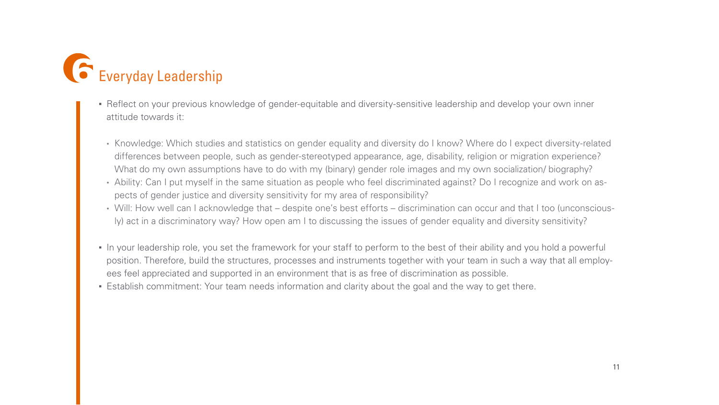<span id="page-10-0"></span>

- Reflect on your previous knowledge of gender-equitable and diversity-sensitive leadership and develop your own inner attitude towards it:
- Knowledge: Which studies and statistics on gender equality and diversity do I know? Where do I expect diversity-related differences between people, such as gender-stereotyped appearance, age, disability, religion or migration experience? What do my own assumptions have to do with my (binary) gender role images and my own socialization/ biography?
- Ability: Can I put myself in the same situation as people who feel discriminated against? Do I recognize and work on aspects of gender justice and diversity sensitivity for my area of responsibility?
- Will: How well can I acknowledge that despite one's best efforts discrimination can occur and that I too (unconsciously) act in a discriminatory way? How open am I to discussing the issues of gender equality and diversity sensitivity?
- In your leadership role, you set the framework for your staff to perform to the best of their ability and you hold a powerful position. Therefore, build the structures, processes and instruments together with your team in such a way that all employees feel appreciated and supported in an environment that is as free of discrimination as possible.
- Establish commitment: Your team needs information and clarity about the goal and the way to get there.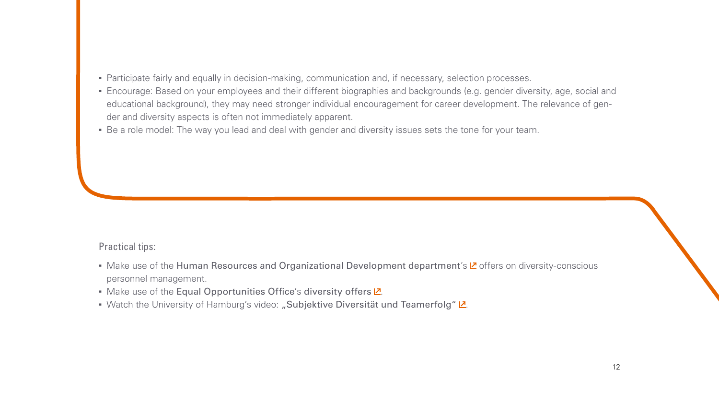- Participate fairly and equally in decision-making, communication and, if necessary, selection processes.
- Encourage: Based on your employees and their different biographies and backgrounds (e.g. gender diversity, age, social and educational background), they may need stronger individual encouragement for career development. The relevance of gender and diversity aspects is often not immediately apparent.
- Be a role model: The way you lead and deal with gender and diversity issues sets the tone for your team.

- •Make use of the Human Resources and Organizational Development department's  $\mathbb Z$  offers on diversity-conscious personnel management.
- Make use of the Equal Opportunities Office's diversity offers  $Z$ [.](https://www.uni-frankfurt.de/39416132/Diversity)
- Watch the University of Hamburg's video: "Subjektive Diversität und Teamerfolg" Z[.](https://lecture2go.uni-hamburg.de/l2go/-/get/v/33068)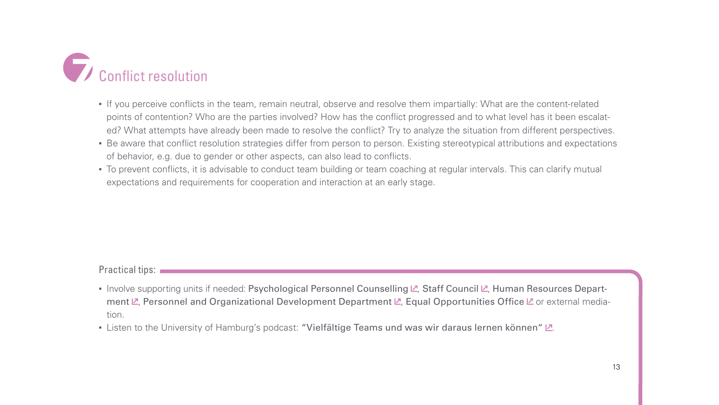<span id="page-12-0"></span>

- If you perceive conflicts in the team, remain neutral, observe and resolve them impartially: What are the content-related points of contention? Who are the parties involved? How has the conflict progressed and to what level has it been escalated? What attempts have already been made to resolve the conflict? Try to analyze the situation from different perspectives.
- Be aware that conflict resolution strategies differ from person to person. Existing stereotypical attributions and expectations of behavior, e.g. due to gender or other aspects, can also lead to conflicts.
- To prevent conflicts, it is advisable to conduct team building or team coaching at regular intervals. This can clarify mutual expectations and requirements for cooperation and interaction at an early stage.

- Involve supporting units if needed: Psychological Personnel Counselling  $\mathbb Z$ [,](https://www.uni-frankfurt.de/51321477/) Staff Council  $\mathbb Z$ , Human Resources Depart-ment $\mathbb{Z}$ [,](https://www.uni-frankfurt.de/PEOEHome) Personnel and Organizational Development Department  $\mathbb{Z}$ , Equal Opportunities Office  $\mathbb{Z}$  or external mediation.
- [.](https://www.uni-hamburg.de/gleichstellung/gleichstellung/podcast-gleichheitszeichen/gleichheitszeichen-1.html) Listen to the University of Hamburg's podcast: "Vielfältige Teams und was wir daraus lernen können"  $\mathbb{Z}$ .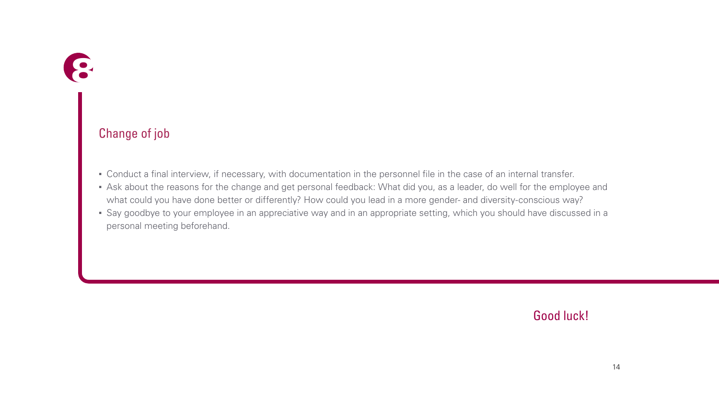<span id="page-13-0"></span>

## Change of job

- Conduct a final interview, if necessary, with documentation in the personnel file in the case of an internal transfer.
- Ask about the reasons for the change and get personal feedback: What did you, as a leader, do well for the employee and what could you have done better or differently? How could you lead in a more gender- and diversity-conscious way?
- Say goodbye to your employee in an appreciative way and in an appropriate setting, which you should have discussed in a personal meeting beforehand.

Good luck!